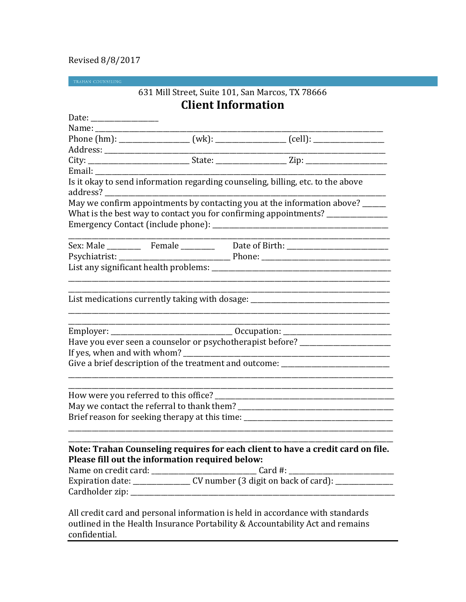## Revised 8/8/2017

TRAHAN COUNSELING

# 631 Mill Street, Suite 101, San Marcos, TX 78666 **Client Information**

|                                                 | City: _________________________________State: _________________________Zip: ________________________                                                             |
|-------------------------------------------------|------------------------------------------------------------------------------------------------------------------------------------------------------------------|
| Email: ______________                           |                                                                                                                                                                  |
|                                                 | Is it okay to send information regarding counseling, billing, etc. to the above                                                                                  |
|                                                 | May we confirm appointments by contacting you at the information above? _____<br>What is the best way to contact you for confirming appointments? ______________ |
|                                                 |                                                                                                                                                                  |
|                                                 |                                                                                                                                                                  |
|                                                 |                                                                                                                                                                  |
|                                                 |                                                                                                                                                                  |
|                                                 | List medications currently taking with dosage: _________________________________                                                                                 |
|                                                 |                                                                                                                                                                  |
|                                                 | Have you ever seen a counselor or psychotherapist before? ______________________                                                                                 |
|                                                 |                                                                                                                                                                  |
|                                                 | Give a brief description of the treatment and outcome: _________________________                                                                                 |
|                                                 |                                                                                                                                                                  |
|                                                 |                                                                                                                                                                  |
|                                                 | Brief reason for seeking therapy at this time: _________________________________                                                                                 |
| Please fill out the information required below: | Note: Trahan Counseling requires for each client to have a credit card on file.                                                                                  |
|                                                 | All credit card and personal information is held in accordance with standards                                                                                    |

outlined in the Health Insurance Portability & Accountability Act and remains confidential.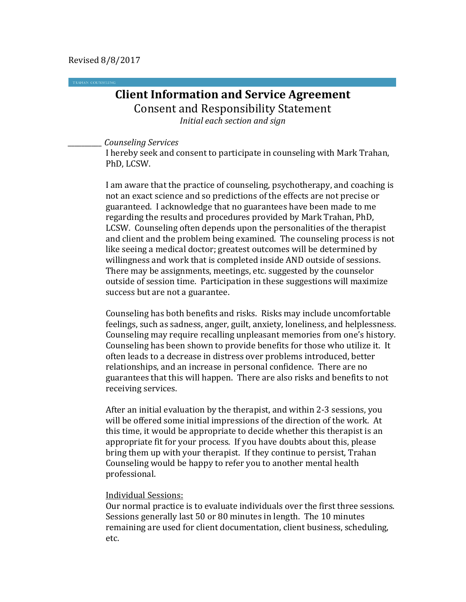# **Client Information and Service Agreement** Consent and Responsibility Statement *Initial each section and sign*

*\_\_\_\_\_\_\_\_\_\_ Counseling Services*

I hereby seek and consent to participate in counseling with Mark Trahan, PhD, LCSW.

I am aware that the practice of counseling, psychotherapy, and coaching is not an exact science and so predictions of the effects are not precise or guaranteed. I acknowledge that no guarantees have been made to me regarding the results and procedures provided by Mark Trahan, PhD, LCSW. Counseling often depends upon the personalities of the therapist and client and the problem being examined. The counseling process is not like seeing a medical doctor; greatest outcomes will be determined by willingness and work that is completed inside AND outside of sessions. There may be assignments, meetings, etc. suggested by the counselor outside of session time. Participation in these suggestions will maximize success but are not a guarantee.

Counseling has both benefits and risks. Risks may include uncomfortable feelings, such as sadness, anger, guilt, anxiety, loneliness, and helplessness. Counseling may require recalling unpleasant memories from one's history. Counseling has been shown to provide benefits for those who utilize it. It often leads to a decrease in distress over problems introduced, better relationships, and an increase in personal confidence. There are no guarantees that this will happen. There are also risks and benefits to not receiving services.

After an initial evaluation by the therapist, and within 2-3 sessions, you will be offered some initial impressions of the direction of the work. At this time, it would be appropriate to decide whether this therapist is an appropriate fit for your process. If you have doubts about this, please bring them up with your therapist. If they continue to persist, Trahan Counseling would be happy to refer you to another mental health professional.

### Individual Sessions:

Our normal practice is to evaluate individuals over the first three sessions. Sessions generally last 50 or 80 minutes in length. The 10 minutes remaining are used for client documentation, client business, scheduling, etc.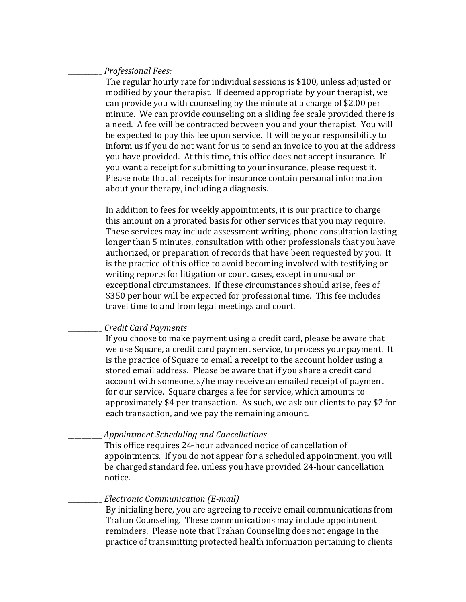#### \_\_\_\_\_\_\_\_\_\_ *Professional Fees:*

The regular hourly rate for individual sessions is \$100, unless adjusted or modified by your therapist. If deemed appropriate by your therapist, we can provide you with counseling by the minute at a charge of \$2.00 per minute. We can provide counseling on a sliding fee scale provided there is a need. A fee will be contracted between you and your therapist. You will be expected to pay this fee upon service. It will be your responsibility to inform us if you do not want for us to send an invoice to you at the address you have provided. At this time, this office does not accept insurance. If you want a receipt for submitting to your insurance, please request it. Please note that all receipts for insurance contain personal information about your therapy, including a diagnosis.

In addition to fees for weekly appointments, it is our practice to charge this amount on a prorated basis for other services that you may require. These services may include assessment writing, phone consultation lasting longer than 5 minutes, consultation with other professionals that you have authorized, or preparation of records that have been requested by you. It is the practice of this office to avoid becoming involved with testifying or writing reports for litigation or court cases, except in unusual or exceptional circumstances. If these circumstances should arise, fees of \$350 per hour will be expected for professional time. This fee includes travel time to and from legal meetings and court.

### \_\_\_\_\_\_\_\_\_\_ *Credit Card Payments*

If you choose to make payment using a credit card, please be aware that we use Square, a credit card payment service, to process your payment. It is the practice of Square to email a receipt to the account holder using a stored email address. Please be aware that if you share a credit card account with someone, s/he may receive an emailed receipt of payment for our service. Square charges a fee for service, which amounts to approximately \$4 per transaction. As such, we ask our clients to pay \$2 for each transaction, and we pay the remaining amount.

## \_\_\_\_\_\_\_\_\_\_ *Appointment Scheduling and Cancellations*

This office requires 24-hour advanced notice of cancellation of appointments. If you do not appear for a scheduled appointment, you will be charged standard fee, unless you have provided 24-hour cancellation notice.

#### \_\_\_\_\_\_\_\_\_\_ *Electronic Communication (E-mail)*

By initialing here, you are agreeing to receive email communications from Trahan Counseling. These communications may include appointment reminders. Please note that Trahan Counseling does not engage in the practice of transmitting protected health information pertaining to clients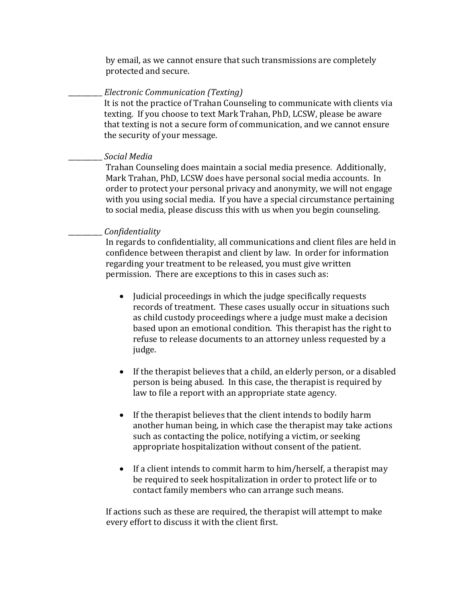by email, as we cannot ensure that such transmissions are completely protected and secure.

### \_\_\_\_\_\_\_\_\_\_ *Electronic Communication (Texting)*

It is not the practice of Trahan Counseling to communicate with clients via texting. If you choose to text Mark Trahan, PhD, LCSW, please be aware that texting is not a secure form of communication, and we cannot ensure the security of your message.

## \_\_\_\_\_\_\_\_\_\_ *Social Media*

Trahan Counseling does maintain a social media presence. Additionally, Mark Trahan, PhD, LCSW does have personal social media accounts. In order to protect your personal privacy and anonymity, we will not engage with you using social media. If you have a special circumstance pertaining to social media, please discuss this with us when you begin counseling.

## \_\_\_\_\_\_\_\_\_\_ *Confidentiality*

In regards to confidentiality, all communications and client files are held in confidence between therapist and client by law. In order for information regarding your treatment to be released, you must give written permission. There are exceptions to this in cases such as:

- Judicial proceedings in which the judge specifically requests records of treatment. These cases usually occur in situations such as child custody proceedings where a judge must make a decision based upon an emotional condition. This therapist has the right to refuse to release documents to an attorney unless requested by a judge.
- If the therapist believes that a child, an elderly person, or a disabled person is being abused. In this case, the therapist is required by law to file a report with an appropriate state agency.
- If the therapist believes that the client intends to bodily harm another human being, in which case the therapist may take actions such as contacting the police, notifying a victim, or seeking appropriate hospitalization without consent of the patient.
- If a client intends to commit harm to him/herself, a therapist may be required to seek hospitalization in order to protect life or to contact family members who can arrange such means.

 If actions such as these are required, the therapist will attempt to make every effort to discuss it with the client first.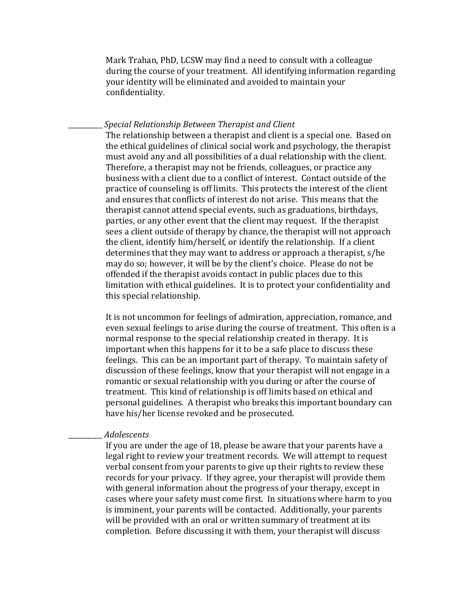Mark Trahan, PhD, LCSW may find a need to consult with a colleague during the course of your treatment. All identifying information regarding your identity will be eliminated and avoided to maintain your confidentiality.

#### \_\_\_\_\_\_\_\_\_\_ *Special Relationship Between Therapist and Client*

The relationship between a therapist and client is a special one. Based on the ethical guidelines of clinical social work and psychology, the therapist must avoid any and all possibilities of a dual relationship with the client. Therefore, a therapist may not be friends, colleagues, or practice any business with a client due to a conflict of interest. Contact outside of the practice of counseling is off limits. This protects the interest of the client and ensures that conflicts of interest do not arise. This means that the therapist cannot attend special events, such as graduations, birthdays, parties, or any other event that the client may request. If the therapist sees a client outside of therapy by chance, the therapist will not approach the client, identify him/herself, or identify the relationship. If a client determines that they may want to address or approach a therapist, s/he may do so; however, it will be by the client's choice. Please do not be offended if the therapist avoids contact in public places due to this limitation with ethical guidelines. It is to protect your confidentiality and this special relationship.

It is not uncommon for feelings of admiration, appreciation, romance, and even sexual feelings to arise during the course of treatment. This often is a normal response to the special relationship created in therapy. It is important when this happens for it to be a safe place to discuss these feelings. This can be an important part of therapy. To maintain safety of discussion of these feelings, know that your therapist will not engage in a romantic or sexual relationship with you during or after the course of treatment. This kind of relationship is off limits based on ethical and personal guidelines. A therapist who breaks this important boundary can have his/her license revoked and be prosecuted.

#### \_\_\_\_\_\_\_\_\_\_ *Adolescents*

If you are under the age of 18, please be aware that your parents have a legal right to review your treatment records. We will attempt to request verbal consent from your parents to give up their rights to review these records for your privacy. If they agree, your therapist will provide them with general information about the progress of your therapy, except in cases where your safety must come first. In situations where harm to you is imminent, your parents will be contacted. Additionally, your parents will be provided with an oral or written summary of treatment at its completion. Before discussing it with them, your therapist will discuss